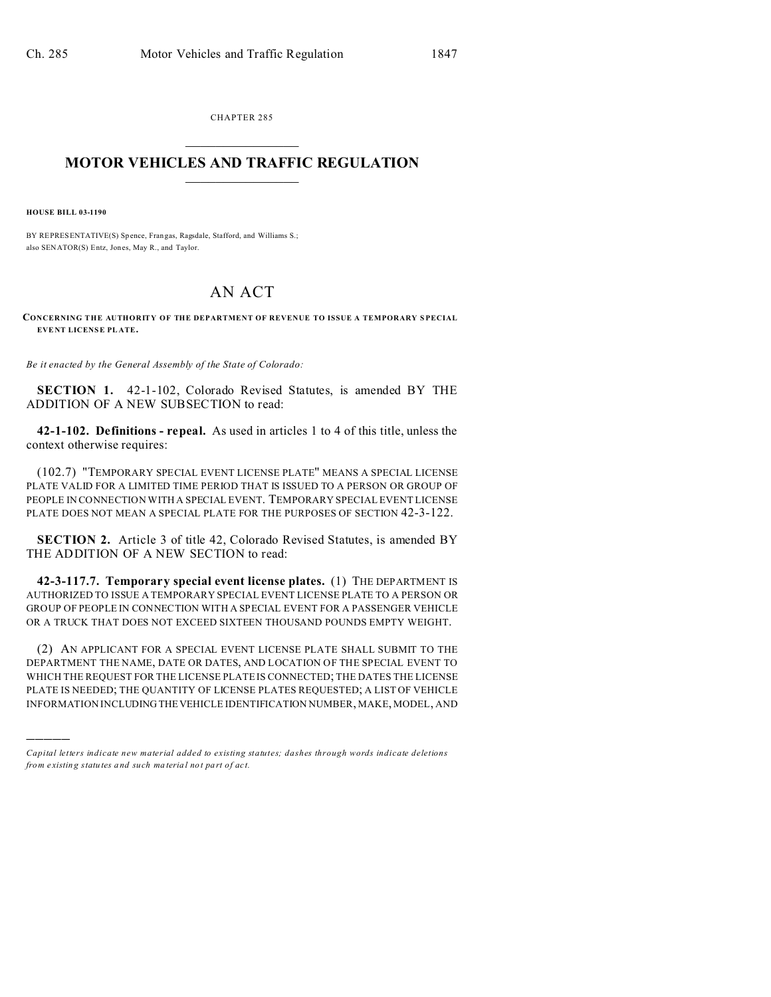CHAPTER 285  $\overline{\phantom{a}}$  , where  $\overline{\phantom{a}}$ 

## **MOTOR VEHICLES AND TRAFFIC REGULATION**  $\frac{1}{2}$  ,  $\frac{1}{2}$  ,  $\frac{1}{2}$  ,  $\frac{1}{2}$  ,  $\frac{1}{2}$  ,  $\frac{1}{2}$  ,  $\frac{1}{2}$

**HOUSE BILL 03-1190**

)))))

BY REPRESENTATIVE(S) Spence, Frangas, Ragsdale, Stafford, and Williams S.; also SENATOR(S) Entz, Jones, May R., and Taylor.

## AN ACT

**CONCERNING THE AUTHORITY OF THE DEPARTMENT OF REVENUE TO ISSUE A TEMPORARY S PECIAL EVENT LICENSE PL ATE.**

*Be it enacted by the General Assembly of the State of Colorado:*

**SECTION 1.** 42-1-102, Colorado Revised Statutes, is amended BY THE ADDITION OF A NEW SUBSECTION to read:

**42-1-102. Definitions - repeal.** As used in articles 1 to 4 of this title, unless the context otherwise requires:

(102.7) "TEMPORARY SPECIAL EVENT LICENSE PLATE" MEANS A SPECIAL LICENSE PLATE VALID FOR A LIMITED TIME PERIOD THAT IS ISSUED TO A PERSON OR GROUP OF PEOPLE IN CONNECTION WITH A SPECIAL EVENT. TEMPORARY SPECIAL EVENT LICENSE PLATE DOES NOT MEAN A SPECIAL PLATE FOR THE PURPOSES OF SECTION 42-3-122.

**SECTION 2.** Article 3 of title 42, Colorado Revised Statutes, is amended BY THE ADDITION OF A NEW SECTION to read:

**42-3-117.7. Temporary special event license plates.** (1) THE DEPARTMENT IS AUTHORIZED TO ISSUE A TEMPORARY SPECIAL EVENT LICENSE PLATE TO A PERSON OR GROUP OF PEOPLE IN CONNECTION WITH A SPECIAL EVENT FOR A PASSENGER VEHICLE OR A TRUCK THAT DOES NOT EXCEED SIXTEEN THOUSAND POUNDS EMPTY WEIGHT.

(2) AN APPLICANT FOR A SPECIAL EVENT LICENSE PLATE SHALL SUBMIT TO THE DEPARTMENT THE NAME, DATE OR DATES, AND LOCATION OF THE SPECIAL EVENT TO WHICH THE REQUEST FOR THE LICENSE PLATE IS CONNECTED; THE DATES THE LICENSE PLATE IS NEEDED; THE QUANTITY OF LICENSE PLATES REQUESTED; A LIST OF VEHICLE INFORMATION INCLUDING THEVEHICLE IDENTIFICATION NUMBER, MAKE, MODEL, AND

*Capital letters indicate new material added to existing statutes; dashes through words indicate deletions from e xistin g statu tes a nd such ma teria l no t pa rt of ac t.*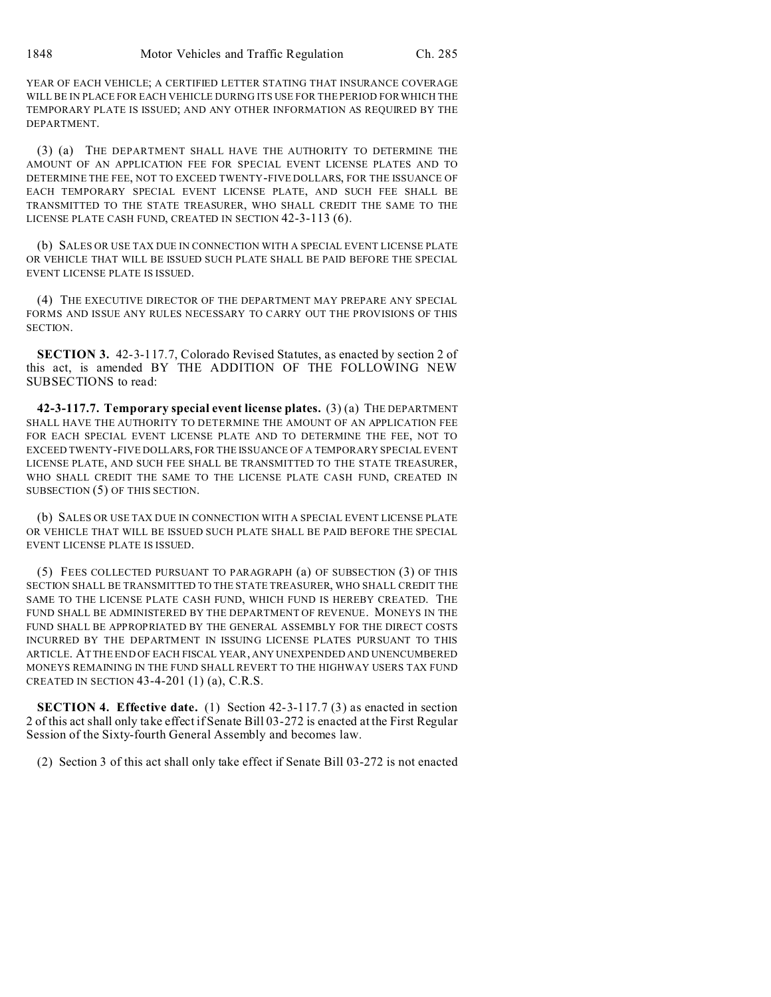YEAR OF EACH VEHICLE; A CERTIFIED LETTER STATING THAT INSURANCE COVERAGE WILL BE IN PLACE FOR EACH VEHICLE DURING ITS USE FOR THE PERIOD FOR WHICH THE TEMPORARY PLATE IS ISSUED; AND ANY OTHER INFORMATION AS REQUIRED BY THE DEPARTMENT.

(3) (a) THE DEPARTMENT SHALL HAVE THE AUTHORITY TO DETERMINE THE AMOUNT OF AN APPLICATION FEE FOR SPECIAL EVENT LICENSE PLATES AND TO DETERMINE THE FEE, NOT TO EXCEED TWENTY-FIVE DOLLARS, FOR THE ISSUANCE OF EACH TEMPORARY SPECIAL EVENT LICENSE PLATE, AND SUCH FEE SHALL BE TRANSMITTED TO THE STATE TREASURER, WHO SHALL CREDIT THE SAME TO THE LICENSE PLATE CASH FUND, CREATED IN SECTION 42-3-113 (6).

(b) SALES OR USE TAX DUE IN CONNECTION WITH A SPECIAL EVENT LICENSE PLATE OR VEHICLE THAT WILL BE ISSUED SUCH PLATE SHALL BE PAID BEFORE THE SPECIAL EVENT LICENSE PLATE IS ISSUED.

(4) THE EXECUTIVE DIRECTOR OF THE DEPARTMENT MAY PREPARE ANY SPECIAL FORMS AND ISSUE ANY RULES NECESSARY TO CARRY OUT THE PROVISIONS OF THIS **SECTION** 

**SECTION 3.** 42-3-117.7, Colorado Revised Statutes, as enacted by section 2 of this act, is amended BY THE ADDITION OF THE FOLLOWING NEW SUBSECTIONS to read:

**42-3-117.7. Temporary special event license plates.** (3) (a) THE DEPARTMENT SHALL HAVE THE AUTHORITY TO DETERMINE THE AMOUNT OF AN APPLICATION FEE FOR EACH SPECIAL EVENT LICENSE PLATE AND TO DETERMINE THE FEE, NOT TO EXCEED TWENTY-FIVE DOLLARS, FOR THE ISSUANCE OF A TEMPORARY SPECIAL EVENT LICENSE PLATE, AND SUCH FEE SHALL BE TRANSMITTED TO THE STATE TREASURER, WHO SHALL CREDIT THE SAME TO THE LICENSE PLATE CASH FUND, CREATED IN SUBSECTION (5) OF THIS SECTION.

(b) SALES OR USE TAX DUE IN CONNECTION WITH A SPECIAL EVENT LICENSE PLATE OR VEHICLE THAT WILL BE ISSUED SUCH PLATE SHALL BE PAID BEFORE THE SPECIAL EVENT LICENSE PLATE IS ISSUED.

(5) FEES COLLECTED PURSUANT TO PARAGRAPH (a) OF SUBSECTION (3) OF THIS SECTION SHALL BE TRANSMITTED TO THE STATE TREASURER, WHO SHALL CREDIT THE SAME TO THE LICENSE PLATE CASH FUND, WHICH FUND IS HEREBY CREATED. THE FUND SHALL BE ADMINISTERED BY THE DEPARTMENT OF REVENUE. MONEYS IN THE FUND SHALL BE APPROPRIATED BY THE GENERAL ASSEMBLY FOR THE DIRECT COSTS INCURRED BY THE DEPARTMENT IN ISSUING LICENSE PLATES PURSUANT TO THIS ARTICLE. AT THE END OF EACH FISCAL YEAR, ANY UNEXPENDED AND UNENCUMBERED MONEYS REMAINING IN THE FUND SHALL REVERT TO THE HIGHWAY USERS TAX FUND CREATED IN SECTION  $43-4-201$  (1) (a), C.R.S.

**SECTION 4. Effective date.** (1) Section 42-3-117.7 (3) as enacted in section 2 of this act shall only take effect if Senate Bill 03-272 is enacted at the First Regular Session of the Sixty-fourth General Assembly and becomes law.

(2) Section 3 of this act shall only take effect if Senate Bill 03-272 is not enacted